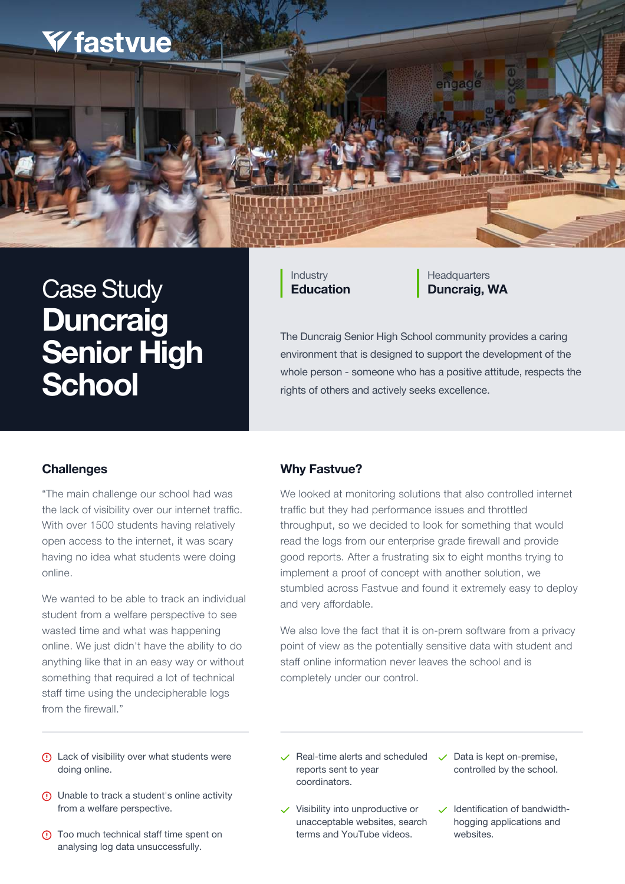The Duncraig Senior High School community provides a caring environment that is designed to support the development of the whole person - someone who has a positive attitude, respects the rights of others and actively seeks excellence.

**Industry Education** **Headquarters** 



# **Case Study Let be Case Study** Education Duncraig, WA **Duncraig Senior High School**

We wanted to be able to track an individual student from a welfare perspective to see wasted time and what was happening online. We just didn't have the ability to do anything like that in an easy way or without something that required a lot of technical staff time using the undecipherable logs from the firewall."

"The main challenge our school had was the lack of visibility over our internet traffic. With over 1500 students having relatively open access to the internet, it was scary having no idea what students were doing online.

> We also love the fact that it is on-prem software from a privacy point of view as the potentially sensitive data with student and staff online information never leaves the school and is completely under our control.

We looked at monitoring solutions that also controlled internet traffic but they had performance issues and throttled throughput, so we decided to look for something that would read the logs from our enterprise grade firewall and provide good reports. After a frustrating six to eight months trying to implement a proof of concept with another solution, we stumbled across Fastvue and found it extremely easy to deploy and very affordable.

#### **Why Fastvue?**

- Lack of visibility over what students were doing online.
- Unable to track a student's online activity  $\left( \left| \right| \right)$ from a welfare perspective.
- Too much technical staff time spent on  $\left( \left| \right| \right)$ analysing log data unsuccessfully.
- $\vee$  Real-time alerts and scheduled reports sent to year coordinators.
- $\checkmark$  Visibility into unproductive or unacceptable websites, search terms and YouTube videos.
- $\vee$  Data is kept on-premise, controlled by the school.
- Identification of bandwidthhogging applications and websites.